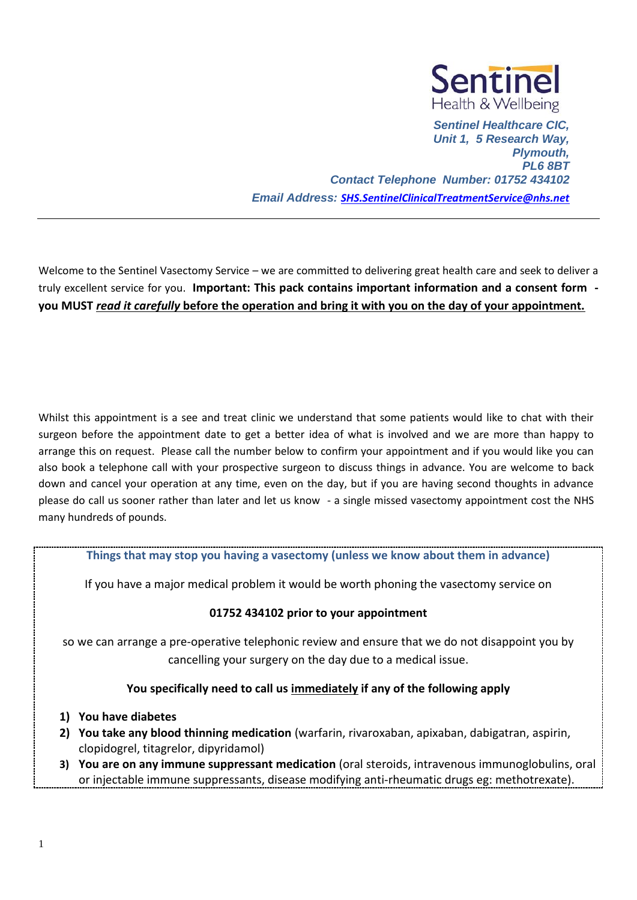

 *Sentinel Healthcare CIC, Unit 1, 5 Research Way, Plymouth, PL6 8BT Contact Telephone Number: 01752 434102 Email Address: [SHS.SentinelClinicalTreatmentService@nhs.net](mailto:PCHCIC.SentinelClinicalTreatmentService@nhs.net)*

Welcome to the Sentinel Vasectomy Service – we are committed to delivering great health care and seek to deliver a truly excellent service for you. **Important: This pack contains important information and a consent form you MUST** *read it carefully* **before the operation and bring it with you on the day of your appointment.** 

Whilst this appointment is a see and treat clinic we understand that some patients would like to chat with their surgeon before the appointment date to get a better idea of what is involved and we are more than happy to arrange this on request. Please call the number below to confirm your appointment and if you would like you can also book a telephone call with your prospective surgeon to discuss things in advance. You are welcome to back down and cancel your operation at any time, even on the day, but if you are having second thoughts in advance please do call us sooner rather than later and let us know - a single missed vasectomy appointment cost the NHS many hundreds of pounds.

#### **Things that may stop you having a vasectomy (unless we know about them in advance)**

If you have a major medical problem it would be worth phoning the vasectomy service on

#### **01752 434102 prior to your appointment**

so we can arrange a pre-operative telephonic review and ensure that we do not disappoint you by cancelling your surgery on the day due to a medical issue.

#### **You specifically need to call us immediately if any of the following apply**

- **1) You have diabetes**
- **2) You take any blood thinning medication** (warfarin, rivaroxaban, apixaban, dabigatran, aspirin, clopidogrel, titagrelor, dipyridamol)
- **3) You are on any immune suppressant medication** (oral steroids, intravenous immunoglobulins, oral or injectable immune suppressants, disease modifying anti-rheumatic drugs eg: methotrexate).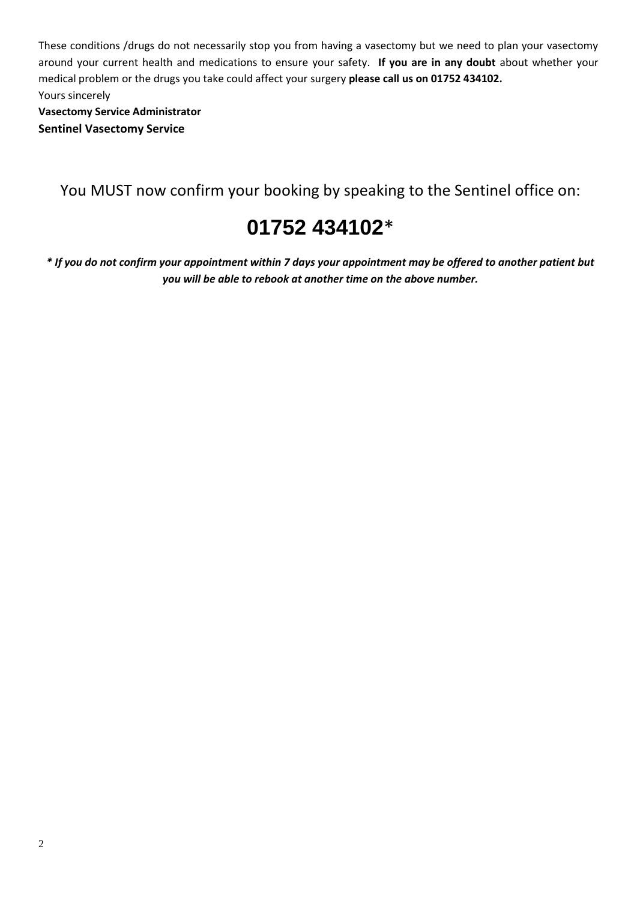These conditions /drugs do not necessarily stop you from having a vasectomy but we need to plan your vasectomy around your current health and medications to ensure your safety. **If you are in any doubt** about whether your medical problem or the drugs you take could affect your surgery **please call us on 01752 434102.** Yours sincerely

**Vasectomy Service Administrator Sentinel Vasectomy Service**

You MUST now confirm your booking by speaking to the Sentinel office on:

## **01752 434102**\*

*\* If you do not confirm your appointment within 7 days your appointment may be offered to another patient but you will be able to rebook at another time on the above number.*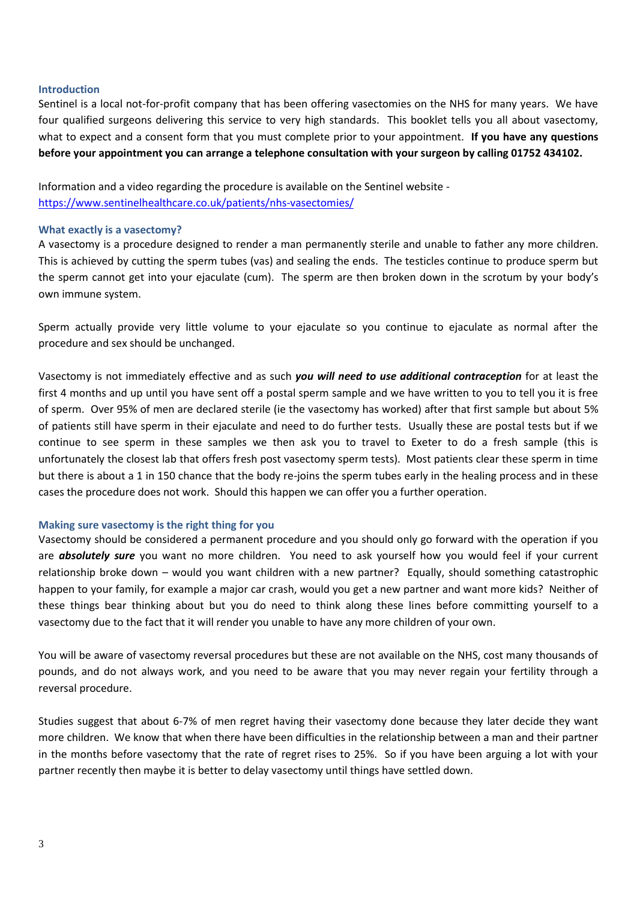#### **Introduction**

Sentinel is a local not-for-profit company that has been offering vasectomies on the NHS for many years. We have four qualified surgeons delivering this service to very high standards. This booklet tells you all about vasectomy, what to expect and a consent form that you must complete prior to your appointment. **If you have any questions before your appointment you can arrange a telephone consultation with your surgeon by calling 01752 434102.**

Information and a video regarding the procedure is available on the Sentinel website <https://www.sentinelhealthcare.co.uk/patients/nhs-vasectomies/>

#### **What exactly is a vasectomy?**

A vasectomy is a procedure designed to render a man permanently sterile and unable to father any more children. This is achieved by cutting the sperm tubes (vas) and sealing the ends. The testicles continue to produce sperm but the sperm cannot get into your ejaculate (cum). The sperm are then broken down in the scrotum by your body's own immune system.

Sperm actually provide very little volume to your ejaculate so you continue to ejaculate as normal after the procedure and sex should be unchanged.

Vasectomy is not immediately effective and as such *you will need to use additional contraception* for at least the first 4 months and up until you have sent off a postal sperm sample and we have written to you to tell you it is free of sperm. Over 95% of men are declared sterile (ie the vasectomy has worked) after that first sample but about 5% of patients still have sperm in their ejaculate and need to do further tests. Usually these are postal tests but if we continue to see sperm in these samples we then ask you to travel to Exeter to do a fresh sample (this is unfortunately the closest lab that offers fresh post vasectomy sperm tests). Most patients clear these sperm in time but there is about a 1 in 150 chance that the body re-joins the sperm tubes early in the healing process and in these cases the procedure does not work. Should this happen we can offer you a further operation.

#### **Making sure vasectomy is the right thing for you**

Vasectomy should be considered a permanent procedure and you should only go forward with the operation if you are *absolutely sure* you want no more children. You need to ask yourself how you would feel if your current relationship broke down – would you want children with a new partner? Equally, should something catastrophic happen to your family, for example a major car crash, would you get a new partner and want more kids? Neither of these things bear thinking about but you do need to think along these lines before committing yourself to a vasectomy due to the fact that it will render you unable to have any more children of your own.

You will be aware of vasectomy reversal procedures but these are not available on the NHS, cost many thousands of pounds, and do not always work, and you need to be aware that you may never regain your fertility through a reversal procedure.

Studies suggest that about 6-7% of men regret having their vasectomy done because they later decide they want more children. We know that when there have been difficulties in the relationship between a man and their partner in the months before vasectomy that the rate of regret rises to 25%. So if you have been arguing a lot with your partner recently then maybe it is better to delay vasectomy until things have settled down.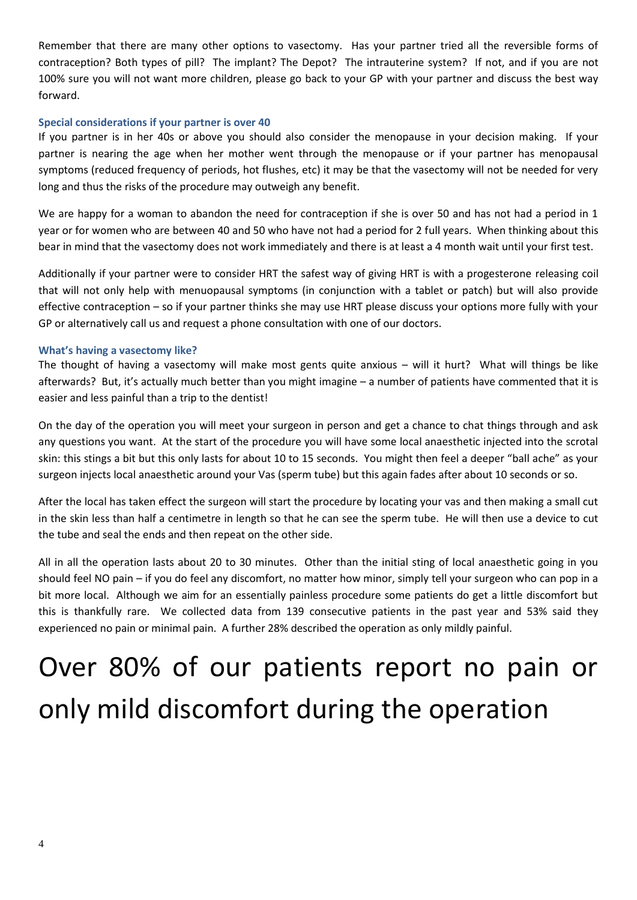Remember that there are many other options to vasectomy. Has your partner tried all the reversible forms of contraception? Both types of pill? The implant? The Depot? The intrauterine system? If not, and if you are not 100% sure you will not want more children, please go back to your GP with your partner and discuss the best way forward.

#### **Special considerations if your partner is over 40**

If you partner is in her 40s or above you should also consider the menopause in your decision making. If your partner is nearing the age when her mother went through the menopause or if your partner has menopausal symptoms (reduced frequency of periods, hot flushes, etc) it may be that the vasectomy will not be needed for very long and thus the risks of the procedure may outweigh any benefit.

We are happy for a woman to abandon the need for contraception if she is over 50 and has not had a period in 1 year or for women who are between 40 and 50 who have not had a period for 2 full years. When thinking about this bear in mind that the vasectomy does not work immediately and there is at least a 4 month wait until your first test.

Additionally if your partner were to consider HRT the safest way of giving HRT is with a progesterone releasing coil that will not only help with menuopausal symptoms (in conjunction with a tablet or patch) but will also provide effective contraception – so if your partner thinks she may use HRT please discuss your options more fully with your GP or alternatively call us and request a phone consultation with one of our doctors.

#### **What's having a vasectomy like?**

The thought of having a vasectomy will make most gents quite anxious – will it hurt? What will things be like afterwards? But, it's actually much better than you might imagine – a number of patients have commented that it is easier and less painful than a trip to the dentist!

On the day of the operation you will meet your surgeon in person and get a chance to chat things through and ask any questions you want. At the start of the procedure you will have some local anaesthetic injected into the scrotal skin: this stings a bit but this only lasts for about 10 to 15 seconds. You might then feel a deeper "ball ache" as your surgeon injects local anaesthetic around your Vas (sperm tube) but this again fades after about 10 seconds or so.

After the local has taken effect the surgeon will start the procedure by locating your vas and then making a small cut in the skin less than half a centimetre in length so that he can see the sperm tube. He will then use a device to cut the tube and seal the ends and then repeat on the other side.

All in all the operation lasts about 20 to 30 minutes. Other than the initial sting of local anaesthetic going in you should feel NO pain – if you do feel any discomfort, no matter how minor, simply tell your surgeon who can pop in a bit more local. Although we aim for an essentially painless procedure some patients do get a little discomfort but this is thankfully rare. We collected data from 139 consecutive patients in the past year and 53% said they experienced no pain or minimal pain. A further 28% described the operation as only mildly painful.

# Over 80% of our patients report no pain or only mild discomfort during the operation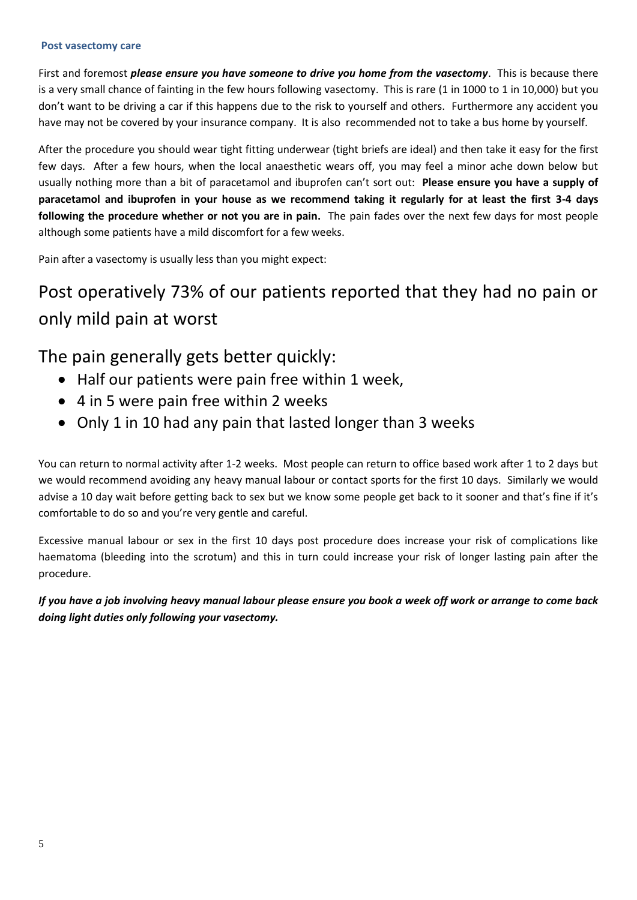#### **Post vasectomy care**

First and foremost *please ensure you have someone to drive you home from the vasectomy*. This is because there is a very small chance of fainting in the few hours following vasectomy. This is rare (1 in 1000 to 1 in 10,000) but you don't want to be driving a car if this happens due to the risk to yourself and others. Furthermore any accident you have may not be covered by your insurance company. It is also recommended not to take a bus home by yourself.

After the procedure you should wear tight fitting underwear (tight briefs are ideal) and then take it easy for the first few days. After a few hours, when the local anaesthetic wears off, you may feel a minor ache down below but usually nothing more than a bit of paracetamol and ibuprofen can't sort out: **Please ensure you have a supply of paracetamol and ibuprofen in your house as we recommend taking it regularly for at least the first 3-4 days following the procedure whether or not you are in pain.** The pain fades over the next few days for most people although some patients have a mild discomfort for a few weeks.

Pain after a vasectomy is usually less than you might expect:

### Post operatively 73% of our patients reported that they had no pain or only mild pain at worst

### The pain generally gets better quickly:

- Half our patients were pain free within 1 week,
- 4 in 5 were pain free within 2 weeks
- Only 1 in 10 had any pain that lasted longer than 3 weeks

You can return to normal activity after 1-2 weeks. Most people can return to office based work after 1 to 2 days but we would recommend avoiding any heavy manual labour or contact sports for the first 10 days. Similarly we would advise a 10 day wait before getting back to sex but we know some people get back to it sooner and that's fine if it's comfortable to do so and you're very gentle and careful.

Excessive manual labour or sex in the first 10 days post procedure does increase your risk of complications like haematoma (bleeding into the scrotum) and this in turn could increase your risk of longer lasting pain after the procedure.

*If you have a job involving heavy manual labour please ensure you book a week off work or arrange to come back doing light duties only following your vasectomy.*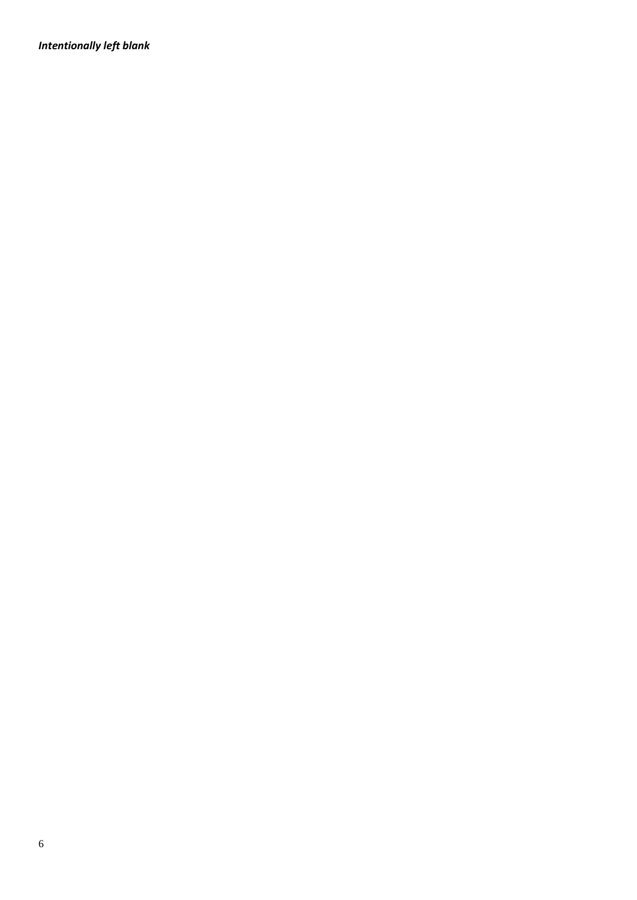*Intentionally left blank*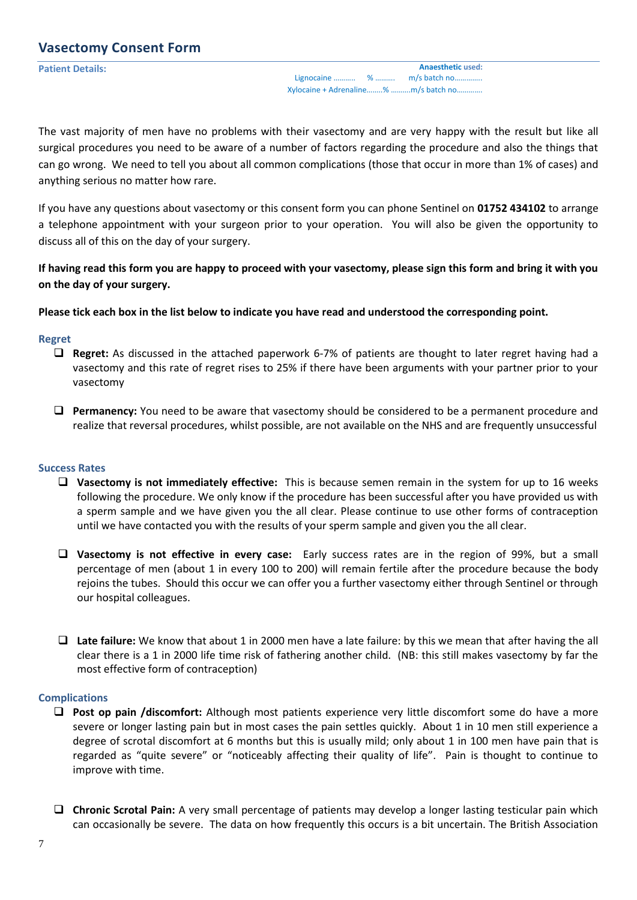**Patient Details: Anaesthetic used: Anaesthetic used: Anaesthetic used: Lignocaine Manaesthetic used: Anaesthetic used: Lignocaine Manaesthetic used: Anaesthetic used: Anaesthetic used: Lignocaine M** Lignocaine ……….. % ………. m/s batch no………….. Xylocaine + Adrenaline……..% ……….m/s batch no………….

The vast majority of men have no problems with their vasectomy and are very happy with the result but like all surgical procedures you need to be aware of a number of factors regarding the procedure and also the things that can go wrong. We need to tell you about all common complications (those that occur in more than 1% of cases) and anything serious no matter how rare.

If you have any questions about vasectomy or this consent form you can phone Sentinel on **01752 434102** to arrange a telephone appointment with your surgeon prior to your operation. You will also be given the opportunity to discuss all of this on the day of your surgery.

**If having read this form you are happy to proceed with your vasectomy, please sign this form and bring it with you on the day of your surgery.** 

#### **Please tick each box in the list below to indicate you have read and understood the corresponding point.**

#### **Regret**

- ❑ **Regret:** As discussed in the attached paperwork 6-7% of patients are thought to later regret having had a vasectomy and this rate of regret rises to 25% if there have been arguments with your partner prior to your vasectomy
- ❑ **Permanency:** You need to be aware that vasectomy should be considered to be a permanent procedure and realize that reversal procedures, whilst possible, are not available on the NHS and are frequently unsuccessful

#### **Success Rates**

- ❑ **Vasectomy is not immediately effective:** This is because semen remain in the system for up to 16 weeks following the procedure. We only know if the procedure has been successful after you have provided us with a sperm sample and we have given you the all clear. Please continue to use other forms of contraception until we have contacted you with the results of your sperm sample and given you the all clear.
- ❑ **Vasectomy is not effective in every case:** Early success rates are in the region of 99%, but a small percentage of men (about 1 in every 100 to 200) will remain fertile after the procedure because the body rejoins the tubes. Should this occur we can offer you a further vasectomy either through Sentinel or through our hospital colleagues.
- ❑ **Late failure:** We know that about 1 in 2000 men have a late failure: by this we mean that after having the all clear there is a 1 in 2000 life time risk of fathering another child. (NB: this still makes vasectomy by far the most effective form of contraception)

#### **Complications**

- ❑ **Post op pain /discomfort:** Although most patients experience very little discomfort some do have a more severe or longer lasting pain but in most cases the pain settles quickly. About 1 in 10 men still experience a degree of scrotal discomfort at 6 months but this is usually mild; only about 1 in 100 men have pain that is regarded as "quite severe" or "noticeably affecting their quality of life". Pain is thought to continue to improve with time.
- ❑ **Chronic Scrotal Pain:** A very small percentage of patients may develop a longer lasting testicular pain which can occasionally be severe. The data on how frequently this occurs is a bit uncertain. The British Association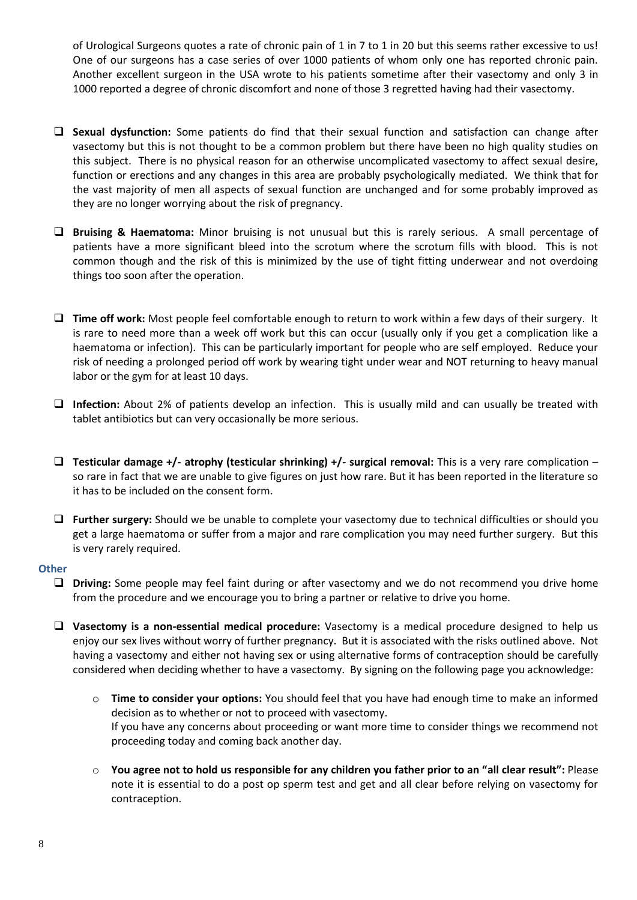of Urological Surgeons quotes a rate of chronic pain of 1 in 7 to 1 in 20 but this seems rather excessive to us! One of our surgeons has a case series of over 1000 patients of whom only one has reported chronic pain. Another excellent surgeon in the USA wrote to his patients sometime after their vasectomy and only 3 in 1000 reported a degree of chronic discomfort and none of those 3 regretted having had their vasectomy.

- ❑ **Sexual dysfunction:** Some patients do find that their sexual function and satisfaction can change after vasectomy but this is not thought to be a common problem but there have been no high quality studies on this subject. There is no physical reason for an otherwise uncomplicated vasectomy to affect sexual desire, function or erections and any changes in this area are probably psychologically mediated. We think that for the vast majority of men all aspects of sexual function are unchanged and for some probably improved as they are no longer worrying about the risk of pregnancy.
- ❑ **Bruising & Haematoma:** Minor bruising is not unusual but this is rarely serious. A small percentage of patients have a more significant bleed into the scrotum where the scrotum fills with blood. This is not common though and the risk of this is minimized by the use of tight fitting underwear and not overdoing things too soon after the operation.
- ❑ **Time off work:** Most people feel comfortable enough to return to work within a few days of their surgery. It is rare to need more than a week off work but this can occur (usually only if you get a complication like a haematoma or infection). This can be particularly important for people who are self employed. Reduce your risk of needing a prolonged period off work by wearing tight under wear and NOT returning to heavy manual labor or the gym for at least 10 days.
- ❑ **Infection:** About 2% of patients develop an infection. This is usually mild and can usually be treated with tablet antibiotics but can very occasionally be more serious.
- ❑ **Testicular damage +/- atrophy (testicular shrinking) +/- surgical removal:** This is a very rare complication so rare in fact that we are unable to give figures on just how rare. But it has been reported in the literature so it has to be included on the consent form.
- ❑ **Further surgery:** Should we be unable to complete your vasectomy due to technical difficulties or should you get a large haematoma or suffer from a major and rare complication you may need further surgery. But this is very rarely required.

#### **Other**

- ❑ **Driving:** Some people may feel faint during or after vasectomy and we do not recommend you drive home from the procedure and we encourage you to bring a partner or relative to drive you home.
- ❑ **Vasectomy is a non-essential medical procedure:** Vasectomy is a medical procedure designed to help us enjoy our sex lives without worry of further pregnancy. But it is associated with the risks outlined above. Not having a vasectomy and either not having sex or using alternative forms of contraception should be carefully considered when deciding whether to have a vasectomy. By signing on the following page you acknowledge:
	- o **Time to consider your options:** You should feel that you have had enough time to make an informed decision as to whether or not to proceed with vasectomy. If you have any concerns about proceeding or want more time to consider things we recommend not proceeding today and coming back another day.
	- o **You agree not to hold us responsible for any children you father prior to an "all clear result":** Please note it is essential to do a post op sperm test and get and all clear before relying on vasectomy for contraception.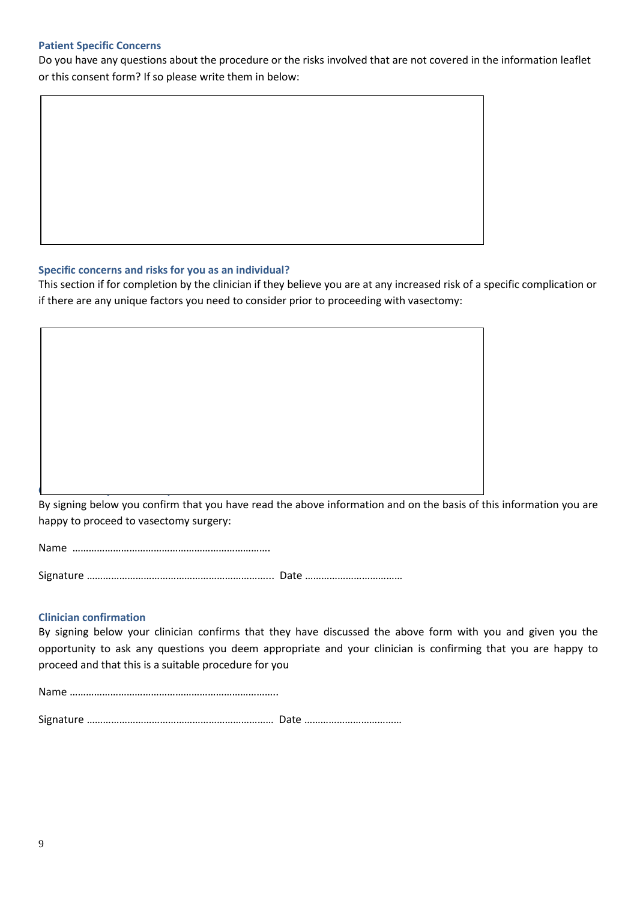#### **Patient Specific Concerns**

Do you have any questions about the procedure or the risks involved that are not covered in the information leaflet or this consent form? If so please write them in below:

## **Specific concerns and risks for you as an individual?**

This section if for completion by the clinician if they believe you are at any increased risk of a specific complication or if there are any unique factors you need to consider prior to proceeding with vasectomy:

**Confirmation you want to proceed the process of the process of the process of the process of the process of the process of the process of the process of the process of the process of the process of the process of the proc** By signing below you confirm that you have read the above information and on the basis of this information you are happy to proceed to vasectomy surgery:

Name ……………………………………………………………….

Signature …………………………………………………………... Date ………………………………

#### **Clinician confirmation**

By signing below your clinician confirms that they have discussed the above form with you and given you the opportunity to ask any questions you deem appropriate and your clinician is confirming that you are happy to proceed and that this is a suitable procedure for you

Name …………………………………………………………………..

Signature …………………………………………………………… Date ………………………………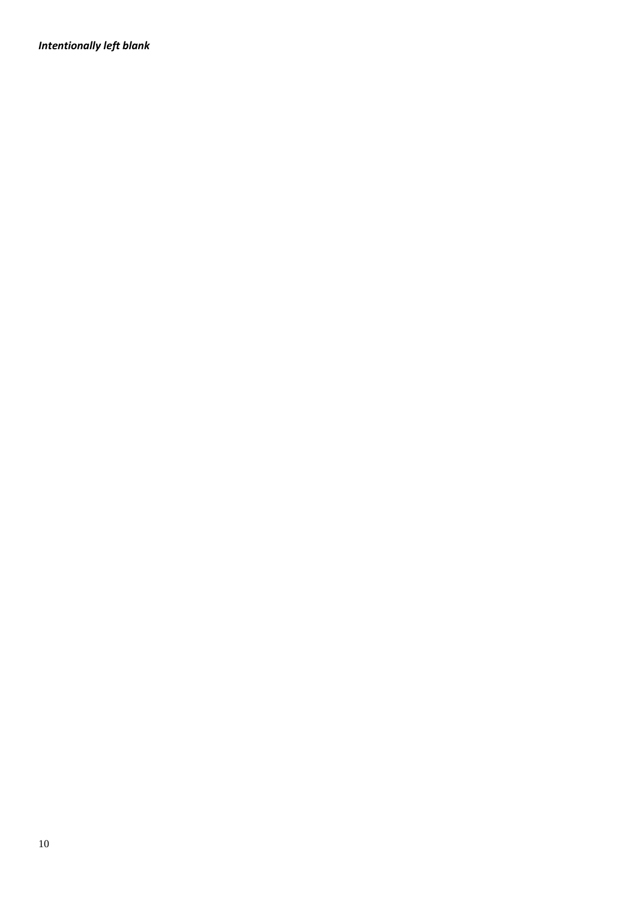*Intentionally left blank*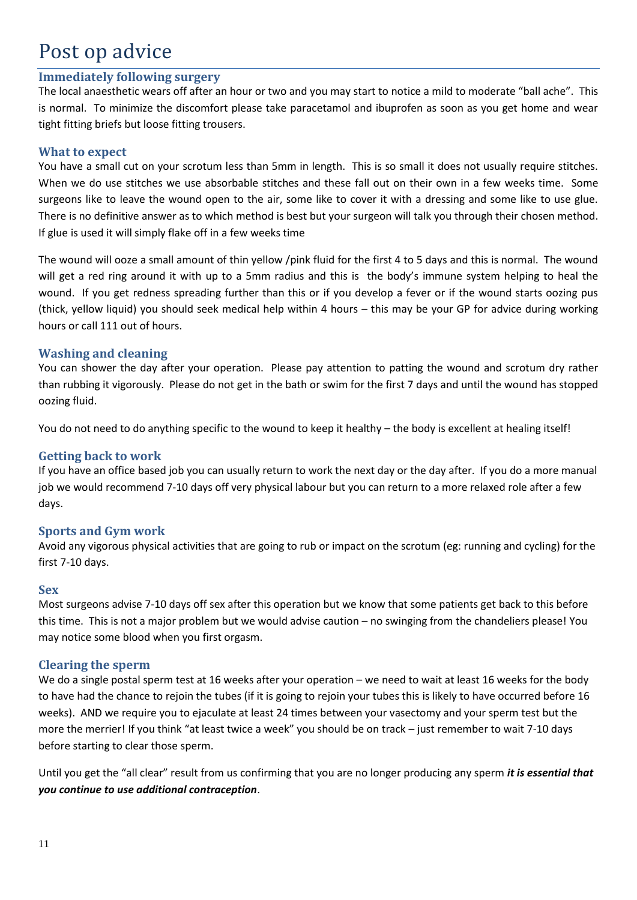## Post op advice

#### **Immediately following surgery**

The local anaesthetic wears off after an hour or two and you may start to notice a mild to moderate "ball ache". This is normal. To minimize the discomfort please take paracetamol and ibuprofen as soon as you get home and wear tight fitting briefs but loose fitting trousers.

#### **What to expect**

You have a small cut on your scrotum less than 5mm in length. This is so small it does not usually require stitches. When we do use stitches we use absorbable stitches and these fall out on their own in a few weeks time. Some surgeons like to leave the wound open to the air, some like to cover it with a dressing and some like to use glue. There is no definitive answer as to which method is best but your surgeon will talk you through their chosen method. If glue is used it will simply flake off in a few weeks time

The wound will ooze a small amount of thin yellow /pink fluid for the first 4 to 5 days and this is normal. The wound will get a red ring around it with up to a 5mm radius and this is the body's immune system helping to heal the wound. If you get redness spreading further than this or if you develop a fever or if the wound starts oozing pus (thick, yellow liquid) you should seek medical help within 4 hours – this may be your GP for advice during working hours or call 111 out of hours.

#### **Washing and cleaning**

You can shower the day after your operation. Please pay attention to patting the wound and scrotum dry rather than rubbing it vigorously. Please do not get in the bath or swim for the first 7 days and until the wound has stopped oozing fluid.

You do not need to do anything specific to the wound to keep it healthy – the body is excellent at healing itself!

#### **Getting back to work**

If you have an office based job you can usually return to work the next day or the day after. If you do a more manual job we would recommend 7-10 days off very physical labour but you can return to a more relaxed role after a few days.

#### **Sports and Gym work**

Avoid any vigorous physical activities that are going to rub or impact on the scrotum (eg: running and cycling) for the first 7-10 days.

#### **Sex**

Most surgeons advise 7-10 days off sex after this operation but we know that some patients get back to this before this time. This is not a major problem but we would advise caution – no swinging from the chandeliers please! You may notice some blood when you first orgasm.

#### **Clearing the sperm**

We do a single postal sperm test at 16 weeks after your operation – we need to wait at least 16 weeks for the body to have had the chance to rejoin the tubes (if it is going to rejoin your tubes this is likely to have occurred before 16 weeks). AND we require you to ejaculate at least 24 times between your vasectomy and your sperm test but the more the merrier! If you think "at least twice a week" you should be on track – just remember to wait 7-10 days before starting to clear those sperm.

Until you get the "all clear" result from us confirming that you are no longer producing any sperm *it is essential that you continue to use additional contraception*.